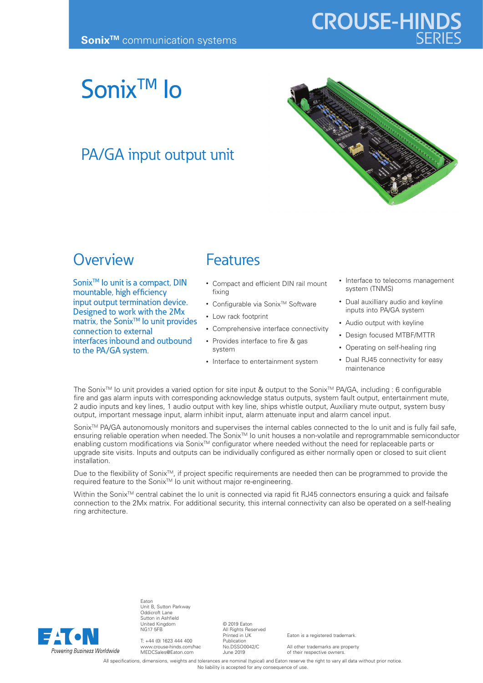# **CROUSE-HINDS**

# SonixTM Io

### PA/GA input output unit



### **Overview**

Sonix<sup>™</sup> Io unit is a compact, DIN mountable, high efficiency input output termination device. Designed to work with the 2Mx matrix, the Sonix<sup>™</sup> lo unit provides connection to external interfaces inbound and outbound to the PA/GA system.

### Features

- Compact and efficient DIN rail mount fixing
- Configurable via Sonix<sup>™</sup> Software
- Low rack footprint
- Comprehensive interface connectivity
- Provides interface to fire & gas system
- Interface to entertainment system
- Interface to telecoms management system (TNMS)
- Dual auxilliary audio and keyline inputs into PA/GA system
- Audio output with keyline
- Design focused MTBF/MTTR
- Operating on self-healing ring
- Dual RJ45 connectivity for easy maintenance

The Sonix<sup>™</sup> Io unit provides a varied option for site input & output to the Sonix<sup>™</sup> PA/GA, including : 6 configurable fire and gas alarm inputs with corresponding acknowledge status outputs, system fault output, entertainment mute, 2 audio inputs and key lines, 1 audio output with key line, ships whistle output, Auxiliary mute output, system busy output, important message input, alarm inhibit input, alarm attenuate input and alarm cancel input.

Sonix<sup>™</sup> PA/GA autonomously monitors and supervises the internal cables connected to the Io unit and is fully fail safe, ensuring reliable operation when needed. The Sonix<sup>™</sup> Io unit houses a non-volatile and reprogrammable semiconductor enabling custom modifications via Sonix<sup>TM</sup> configurator where needed without the need for replaceable parts or upgrade site visits. Inputs and outputs can be individually configured as either normally open or closed to suit client installation.

Due to the flexibility of Sonix<sup>™</sup>, if project specific requirements are needed then can be programmed to provide the required feature to the SonixTM Io unit without major re-engineering.

Within the Sonix™ central cabinet the Io unit is connected via rapid fit RJ45 connectors ensuring a quick and failsafe connection to the 2Mx matrix. For additional security, this internal connectivity can also be operated on a self-healing ring architecture.



Eaton Unit B, Sutton Parkway Oddicroft Lane Sutton in Ashfield United Kingdom NG17 5FB

T: +44 (0) 1623 444 400 www.crouse-hinds.com/hac MEDCSales@Eaton.com

© 2019 Eaton All Rights Reserved Printed in UK Publication No.DSSO0042/C June 2019

Eaton is a registered trademark.

All other trademarks are property of their respective owners.

All specifications, dimensions, weights and tolerances are nominal (typical) and Eaton reserve the right to vary all data without prior notice. No liability is accepted for any consequence of use.